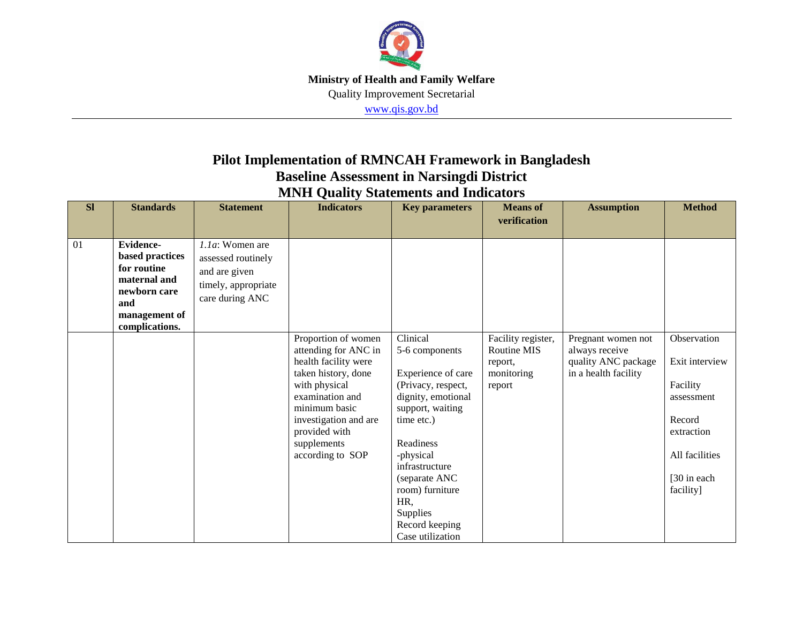

## **Pilot Implementation of RMNCAH Framework in Bangladesh Baseline Assessment in Narsingdi District**

| <b>Sl</b> | <b>Standards</b>                                                                                                             | <b>Statement</b>                                                                                    | <b>Indicators</b>                                                                                                                                     | <b>Key parameters</b>                                                                                                                                                                                                                     | <b>Means</b> of                              | <b>Assumption</b>                                           | <b>Method</b>                                                                                 |
|-----------|------------------------------------------------------------------------------------------------------------------------------|-----------------------------------------------------------------------------------------------------|-------------------------------------------------------------------------------------------------------------------------------------------------------|-------------------------------------------------------------------------------------------------------------------------------------------------------------------------------------------------------------------------------------------|----------------------------------------------|-------------------------------------------------------------|-----------------------------------------------------------------------------------------------|
|           |                                                                                                                              |                                                                                                     |                                                                                                                                                       |                                                                                                                                                                                                                                           | verification                                 |                                                             |                                                                                               |
| 01        | <b>Evidence-</b><br>based practices<br>for routine<br>maternal and<br>newborn care<br>and<br>management of<br>complications. | $1.1a$ : Women are<br>assessed routinely<br>and are given<br>timely, appropriate<br>care during ANC | Proportion of women<br>attending for ANC in<br>health facility were                                                                                   | Clinical<br>5-6 components                                                                                                                                                                                                                | Facility register,<br>Routine MIS<br>report, | Pregnant women not<br>always receive<br>quality ANC package | Observation<br>Exit interview                                                                 |
|           |                                                                                                                              |                                                                                                     | taken history, done<br>with physical<br>examination and<br>minimum basic<br>investigation and are<br>provided with<br>supplements<br>according to SOP | Experience of care<br>(Privacy, respect,<br>dignity, emotional<br>support, waiting<br>time etc.)<br>Readiness<br>-physical<br>infrastructure<br>(separate ANC<br>room) furniture<br>HR,<br>Supplies<br>Record keeping<br>Case utilization | monitoring<br>report                         | in a health facility                                        | Facility<br>assessment<br>Record<br>extraction<br>All facilities<br>[30 in each]<br>facility] |

**MNH Quality Statements and Indicators**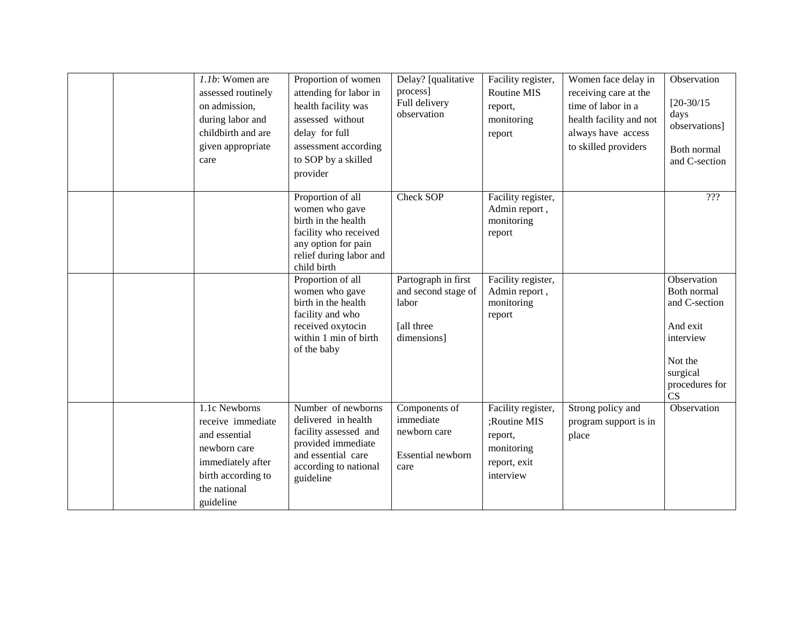| 1.1b: Women are<br>assessed routinely<br>on admission,<br>during labor and<br>childbirth and are<br>given appropriate<br>care               | Proportion of women<br>attending for labor in<br>health facility was<br>assessed without<br>delay for full<br>assessment according<br>to SOP by a skilled<br>provider | Delay? [qualitative<br>process]<br>Full delivery<br>observation                  | Facility register,<br><b>Routine MIS</b><br>report,<br>monitoring<br>report              | Women face delay in<br>receiving care at the<br>time of labor in a<br>health facility and not<br>always have access<br>to skilled providers | Observation<br>$[20-30/15]$<br>days<br>observations]<br>Both normal<br>and C-section                                |
|---------------------------------------------------------------------------------------------------------------------------------------------|-----------------------------------------------------------------------------------------------------------------------------------------------------------------------|----------------------------------------------------------------------------------|------------------------------------------------------------------------------------------|---------------------------------------------------------------------------------------------------------------------------------------------|---------------------------------------------------------------------------------------------------------------------|
|                                                                                                                                             | Proportion of all<br>women who gave<br>birth in the health<br>facility who received<br>any option for pain<br>relief during labor and<br>child birth                  | Check SOP                                                                        | Facility register,<br>Admin report,<br>monitoring<br>report                              |                                                                                                                                             | ???                                                                                                                 |
|                                                                                                                                             | Proportion of all<br>women who gave<br>birth in the health<br>facility and who<br>received oxytocin<br>within 1 min of birth<br>of the baby                           | Partograph in first<br>and second stage of<br>labor<br>[all three<br>dimensions] | Facility register,<br>Admin report,<br>monitoring<br>report                              |                                                                                                                                             | Observation<br>Both normal<br>and C-section<br>And exit<br>interview<br>Not the<br>surgical<br>procedures for<br>CS |
| 1.1c Newborns<br>receive immediate<br>and essential<br>newborn care<br>immediately after<br>birth according to<br>the national<br>guideline | Number of newborns<br>delivered in health<br>facility assessed and<br>provided immediate<br>and essential care<br>according to national<br>guideline                  | Components of<br>immediate<br>newborn care<br>Essential newborn<br>care          | Facility register,<br>;Routine MIS<br>report,<br>monitoring<br>report, exit<br>interview | Strong policy and<br>program support is in<br>place                                                                                         | Observation                                                                                                         |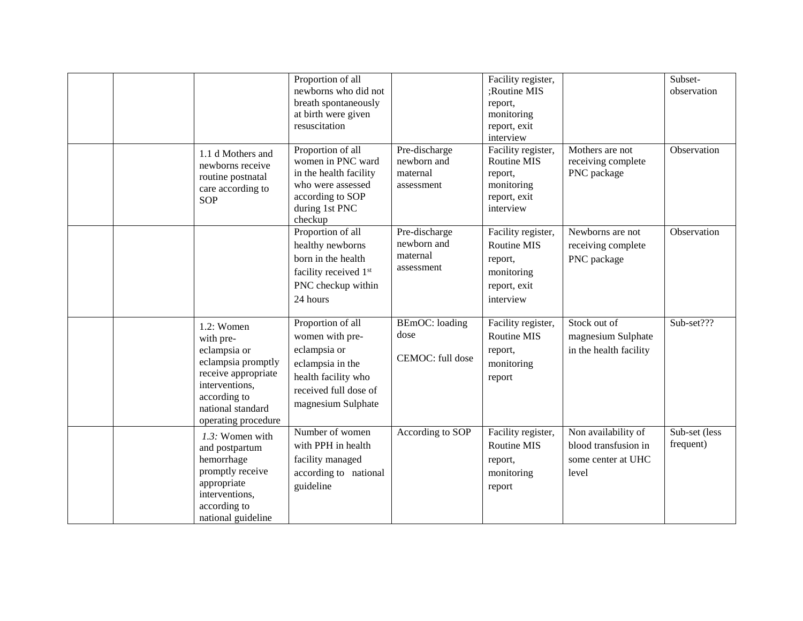|  |                                                                                                                                                                       | Proportion of all<br>newborns who did not<br>breath spontaneously<br>at birth were given<br>resuscitation                                      |                                                        | Facility register,<br>;Routine MIS<br>report,<br>monitoring<br>report, exit<br>interview |                                                                            | Subset-<br>observation     |
|--|-----------------------------------------------------------------------------------------------------------------------------------------------------------------------|------------------------------------------------------------------------------------------------------------------------------------------------|--------------------------------------------------------|------------------------------------------------------------------------------------------|----------------------------------------------------------------------------|----------------------------|
|  | 1.1 d Mothers and<br>newborns receive<br>routine postnatal<br>care according to<br><b>SOP</b>                                                                         | Proportion of all<br>women in PNC ward<br>in the health facility<br>who were assessed<br>according to SOP<br>during 1st PNC<br>checkup         | Pre-discharge<br>newborn and<br>maternal<br>assessment | Facility register,<br>Routine MIS<br>report,<br>monitoring<br>report, exit<br>interview  | Mothers are not<br>receiving complete<br>PNC package                       | Observation                |
|  |                                                                                                                                                                       | Proportion of all<br>healthy newborns<br>born in the health<br>facility received 1 <sup>st</sup><br>PNC checkup within<br>24 hours             | Pre-discharge<br>newborn and<br>maternal<br>assessment | Facility register,<br>Routine MIS<br>report,<br>monitoring<br>report, exit<br>interview  | Newborns are not<br>receiving complete<br>PNC package                      | Observation                |
|  | $1.2$ : Women<br>with pre-<br>eclampsia or<br>eclampsia promptly<br>receive appropriate<br>interventions,<br>according to<br>national standard<br>operating procedure | Proportion of all<br>women with pre-<br>eclampsia or<br>eclampsia in the<br>health facility who<br>received full dose of<br>magnesium Sulphate | <b>BEmOC</b> : loading<br>dose<br>CEMOC: full dose     | Facility register,<br>Routine MIS<br>report,<br>monitoring<br>report                     | Stock out of<br>magnesium Sulphate<br>in the health facility               | Sub-set???                 |
|  | 1.3: Women with<br>and postpartum<br>hemorrhage<br>promptly receive<br>appropriate<br>interventions,<br>according to<br>national guideline                            | Number of women<br>with PPH in health<br>facility managed<br>according to national<br>guideline                                                | According to SOP                                       | Facility register,<br>Routine MIS<br>report,<br>monitoring<br>report                     | Non availability of<br>blood transfusion in<br>some center at UHC<br>level | Sub-set (less<br>frequent) |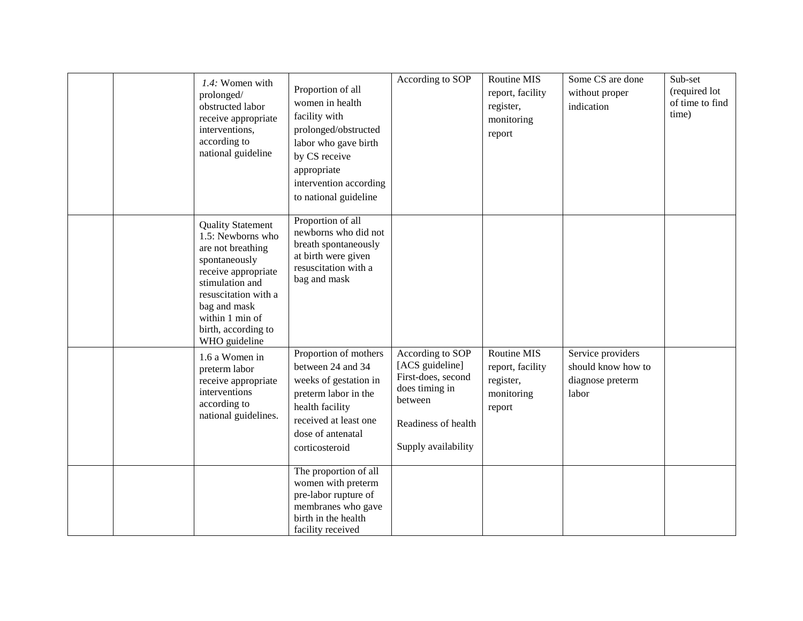|  | 1.4: Women with<br>prolonged/<br>obstructed labor<br>receive appropriate<br>interventions,<br>according to<br>national guideline                                                                                                 | Proportion of all<br>women in health<br>facility with<br>prolonged/obstructed<br>labor who gave birth<br>by CS receive<br>appropriate<br>intervention according<br>to national guideline | According to SOP                                                                                                                     | Routine MIS<br>report, facility<br>register,<br>monitoring<br>report | Some CS are done<br>without proper<br>indication                     | Sub-set<br>(required lot<br>of time to find<br>time) |
|--|----------------------------------------------------------------------------------------------------------------------------------------------------------------------------------------------------------------------------------|------------------------------------------------------------------------------------------------------------------------------------------------------------------------------------------|--------------------------------------------------------------------------------------------------------------------------------------|----------------------------------------------------------------------|----------------------------------------------------------------------|------------------------------------------------------|
|  | <b>Quality Statement</b><br>1.5: Newborns who<br>are not breathing<br>spontaneously<br>receive appropriate<br>stimulation and<br>resuscitation with a<br>bag and mask<br>within 1 min of<br>birth, according to<br>WHO guideline | Proportion of all<br>newborns who did not<br>breath spontaneously<br>at birth were given<br>resuscitation with a<br>bag and mask                                                         |                                                                                                                                      |                                                                      |                                                                      |                                                      |
|  | 1.6 a Women in<br>preterm labor<br>receive appropriate<br>interventions<br>according to<br>national guidelines.                                                                                                                  | Proportion of mothers<br>between 24 and 34<br>weeks of gestation in<br>preterm labor in the<br>health facility<br>received at least one<br>dose of antenatal<br>corticosteroid           | According to SOP<br>[ACS guideline]<br>First-does, second<br>does timing in<br>between<br>Readiness of health<br>Supply availability | Routine MIS<br>report, facility<br>register,<br>monitoring<br>report | Service providers<br>should know how to<br>diagnose preterm<br>labor |                                                      |
|  |                                                                                                                                                                                                                                  | The proportion of all<br>women with preterm<br>pre-labor rupture of<br>membranes who gave<br>birth in the health<br>facility received                                                    |                                                                                                                                      |                                                                      |                                                                      |                                                      |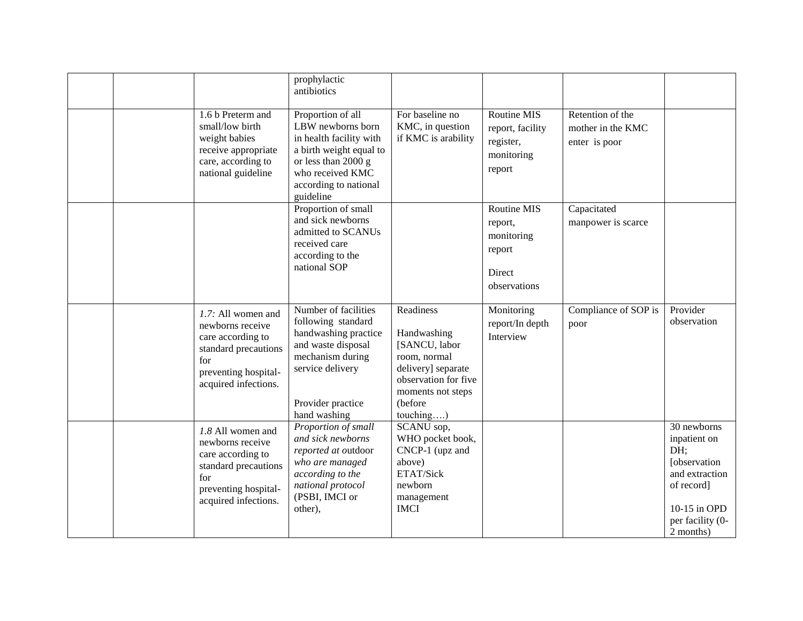|  |                                                                                                                                            | prophylactic<br>antibiotics                                                                                                                                                   |                                                                                                                                                      |                                                                          |                                                        |                                                                                                                                             |
|--|--------------------------------------------------------------------------------------------------------------------------------------------|-------------------------------------------------------------------------------------------------------------------------------------------------------------------------------|------------------------------------------------------------------------------------------------------------------------------------------------------|--------------------------------------------------------------------------|--------------------------------------------------------|---------------------------------------------------------------------------------------------------------------------------------------------|
|  | 1.6 b Preterm and<br>small/low birth<br>weight babies<br>receive appropriate<br>care, according to<br>national guideline                   | Proportion of all<br>LBW newborns born<br>in health facility with<br>a birth weight equal to<br>or less than 2000 g<br>who received KMC<br>according to national<br>guideline | For baseline no<br>KMC, in question<br>if KMC is arability                                                                                           | Routine MIS<br>report, facility<br>register,<br>monitoring<br>report     | Retention of the<br>mother in the KMC<br>enter is poor |                                                                                                                                             |
|  |                                                                                                                                            | Proportion of small<br>and sick newborns<br>admitted to SCANUs<br>received care<br>according to the<br>national SOP                                                           |                                                                                                                                                      | Routine MIS<br>report,<br>monitoring<br>report<br>Direct<br>observations | Capacitated<br>manpower is scarce                      |                                                                                                                                             |
|  | 1.7: All women and<br>newborns receive<br>care according to<br>standard precautions<br>for<br>preventing hospital-<br>acquired infections. | Number of facilities<br>following standard<br>handwashing practice<br>and waste disposal<br>mechanism during<br>service delivery<br>Provider practice<br>hand washing         | Readiness<br>Handwashing<br>[SANCU, labor<br>room, normal<br>delivery] separate<br>observation for five<br>moments not steps<br>(before<br>touching) | Monitoring<br>report/In depth<br>Interview                               | Compliance of SOP is<br>poor                           | Provider<br>observation                                                                                                                     |
|  | 1.8 All women and<br>newborns receive<br>care according to<br>standard precautions<br>for<br>preventing hospital-<br>acquired infections.  | Proportion of small<br>and sick newborns<br>reported at outdoor<br>who are managed<br>according to the<br>national protocol<br>(PSBI, IMCI or<br>other),                      | SCANU sop,<br>WHO pocket book,<br>CNCP-1 (upz and<br>above)<br>ETAT/Sick<br>newborn<br>management<br><b>IMCI</b>                                     |                                                                          |                                                        | 30 newborns<br>inpatient on<br>DH:<br><b>[</b> observation<br>and extraction<br>of record]<br>10-15 in OPD<br>per facility (0-<br>2 months) |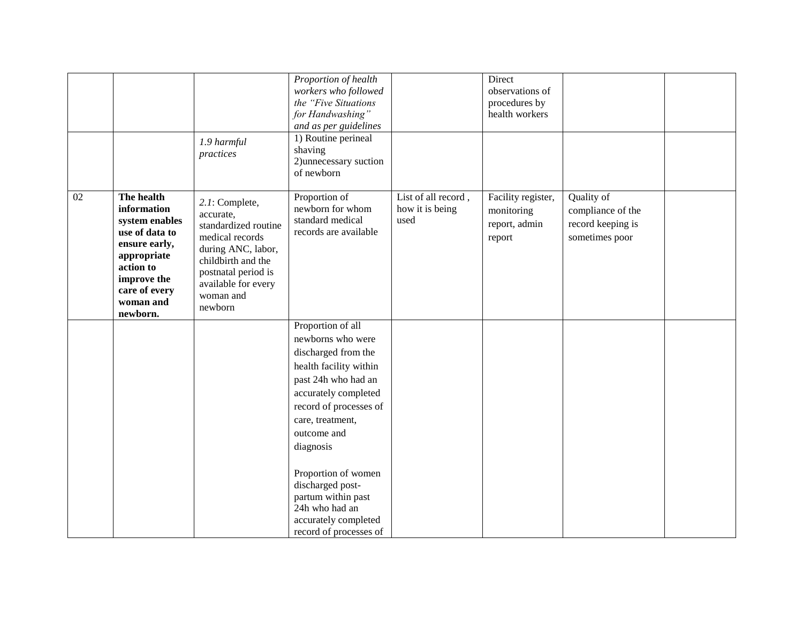|    |                                                                                                                                                                     | 1.9 harmful<br>practices                                                                                                                                                                 | Proportion of health<br>workers who followed<br>the "Five Situations<br>for Handwashing"<br>and as per guidelines<br>1) Routine perineal<br>shaving<br>2) unnecessary suction<br>of newborn                                                                                                                                                           |                                                | Direct<br>observations of<br>procedures by<br>health workers |                                                                        |  |
|----|---------------------------------------------------------------------------------------------------------------------------------------------------------------------|------------------------------------------------------------------------------------------------------------------------------------------------------------------------------------------|-------------------------------------------------------------------------------------------------------------------------------------------------------------------------------------------------------------------------------------------------------------------------------------------------------------------------------------------------------|------------------------------------------------|--------------------------------------------------------------|------------------------------------------------------------------------|--|
| 02 | The health<br>information<br>system enables<br>use of data to<br>ensure early,<br>appropriate<br>action to<br>improve the<br>care of every<br>woman and<br>newborn. | 2.1: Complete,<br>accurate,<br>standardized routine<br>medical records<br>during ANC, labor,<br>childbirth and the<br>postnatal period is<br>available for every<br>woman and<br>newborn | Proportion of<br>newborn for whom<br>standard medical<br>records are available                                                                                                                                                                                                                                                                        | List of all record,<br>how it is being<br>used | Facility register,<br>monitoring<br>report, admin<br>report  | Quality of<br>compliance of the<br>record keeping is<br>sometimes poor |  |
|    |                                                                                                                                                                     |                                                                                                                                                                                          | Proportion of all<br>newborns who were<br>discharged from the<br>health facility within<br>past 24h who had an<br>accurately completed<br>record of processes of<br>care, treatment,<br>outcome and<br>diagnosis<br>Proportion of women<br>discharged post-<br>partum within past<br>24h who had an<br>accurately completed<br>record of processes of |                                                |                                                              |                                                                        |  |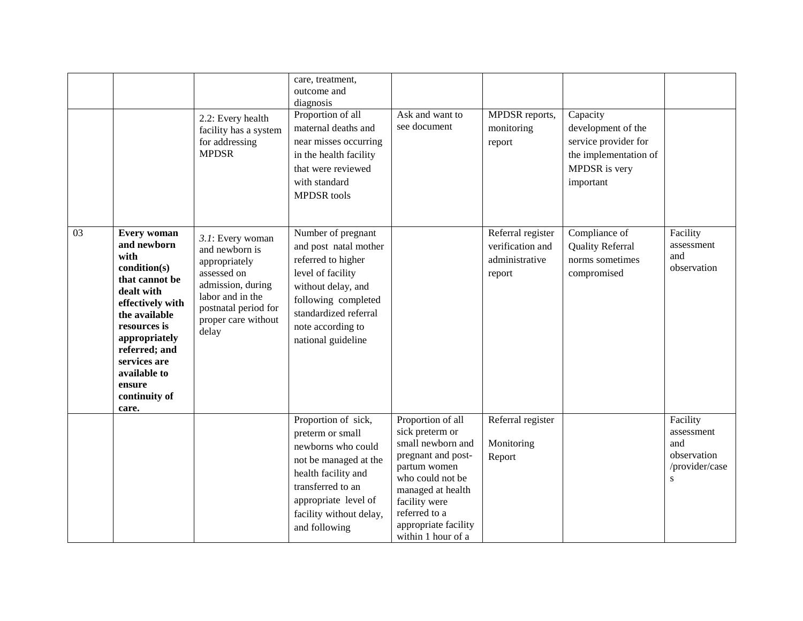|    |                                                                                                                                                                                                                                                      | 2.2: Every health<br>facility has a system<br>for addressing<br><b>MPDSR</b>                                                                                        | care, treatment,<br>outcome and<br>diagnosis<br>Proportion of all<br>maternal deaths and<br>near misses occurring<br>in the health facility<br>that were reviewed<br>with standard<br><b>MPDSR</b> tools | Ask and want to<br>see document                                                                                                                                                                                          | MPDSR reports,<br>monitoring<br>report                            | Capacity<br>development of the<br>service provider for<br>the implementation of<br>MPDSR is very<br>important |                                                                             |
|----|------------------------------------------------------------------------------------------------------------------------------------------------------------------------------------------------------------------------------------------------------|---------------------------------------------------------------------------------------------------------------------------------------------------------------------|----------------------------------------------------------------------------------------------------------------------------------------------------------------------------------------------------------|--------------------------------------------------------------------------------------------------------------------------------------------------------------------------------------------------------------------------|-------------------------------------------------------------------|---------------------------------------------------------------------------------------------------------------|-----------------------------------------------------------------------------|
| 03 | <b>Every woman</b><br>and newborn<br>with<br>condition(s)<br>that cannot be<br>dealt with<br>effectively with<br>the available<br>resources is<br>appropriately<br>referred; and<br>services are<br>available to<br>ensure<br>continuity of<br>care. | 3.1: Every woman<br>and newborn is<br>appropriately<br>assessed on<br>admission, during<br>labor and in the<br>postnatal period for<br>proper care without<br>delay | Number of pregnant<br>and post natal mother<br>referred to higher<br>level of facility<br>without delay, and<br>following completed<br>standardized referral<br>note according to<br>national guideline  |                                                                                                                                                                                                                          | Referral register<br>verification and<br>administrative<br>report | Compliance of<br><b>Quality Referral</b><br>norms sometimes<br>compromised                                    | Facility<br>assessment<br>and<br>observation                                |
|    |                                                                                                                                                                                                                                                      |                                                                                                                                                                     | Proportion of sick,<br>preterm or small<br>newborns who could<br>not be managed at the<br>health facility and<br>transferred to an<br>appropriate level of<br>facility without delay,<br>and following   | Proportion of all<br>sick preterm or<br>small newborn and<br>pregnant and post-<br>partum women<br>who could not be<br>managed at health<br>facility were<br>referred to a<br>appropriate facility<br>within 1 hour of a | Referral register<br>Monitoring<br>Report                         |                                                                                                               | Facility<br>assessment<br>and<br>observation<br>/provider/case<br>${\bf S}$ |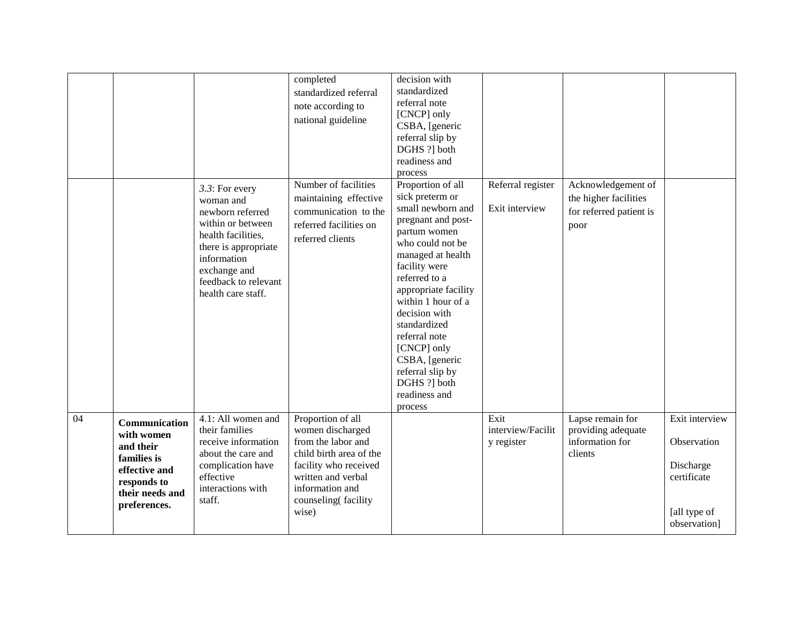|    |                                                                                                                            |                                                                                                                                                                                                 | completed<br>standardized referral<br>note according to<br>national guideline                                                                                                            | decision with<br>standardized<br>referral note<br>[CNCP] only<br>CSBA, [generic<br>referral slip by<br>DGHS ?] both<br>readiness and<br>process                                                                                                                                                                                                                             |                                         |                                                                                |                                                                                           |
|----|----------------------------------------------------------------------------------------------------------------------------|-------------------------------------------------------------------------------------------------------------------------------------------------------------------------------------------------|------------------------------------------------------------------------------------------------------------------------------------------------------------------------------------------|-----------------------------------------------------------------------------------------------------------------------------------------------------------------------------------------------------------------------------------------------------------------------------------------------------------------------------------------------------------------------------|-----------------------------------------|--------------------------------------------------------------------------------|-------------------------------------------------------------------------------------------|
|    |                                                                                                                            | 3.3: For every<br>woman and<br>newborn referred<br>within or between<br>health facilities,<br>there is appropriate<br>information<br>exchange and<br>feedback to relevant<br>health care staff. | Number of facilities<br>maintaining effective<br>communication to the<br>referred facilities on<br>referred clients                                                                      | Proportion of all<br>sick preterm or<br>small newborn and<br>pregnant and post-<br>partum women<br>who could not be<br>managed at health<br>facility were<br>referred to a<br>appropriate facility<br>within 1 hour of a<br>decision with<br>standardized<br>referral note<br>[CNCP] only<br>CSBA, [generic<br>referral slip by<br>DGHS ?] both<br>readiness and<br>process | Referral register<br>Exit interview     | Acknowledgement of<br>the higher facilities<br>for referred patient is<br>poor |                                                                                           |
| 04 | Communication<br>with women<br>and their<br>families is<br>effective and<br>responds to<br>their needs and<br>preferences. | 4.1: All women and<br>their families<br>receive information<br>about the care and<br>complication have<br>effective<br>interactions with<br>staff.                                              | Proportion of all<br>women discharged<br>from the labor and<br>child birth area of the<br>facility who received<br>written and verbal<br>information and<br>counseling(facility<br>wise) |                                                                                                                                                                                                                                                                                                                                                                             | Exit<br>interview/Facilit<br>y register | Lapse remain for<br>providing adequate<br>information for<br>clients           | Exit interview<br>Observation<br>Discharge<br>certificate<br>[all type of<br>observation] |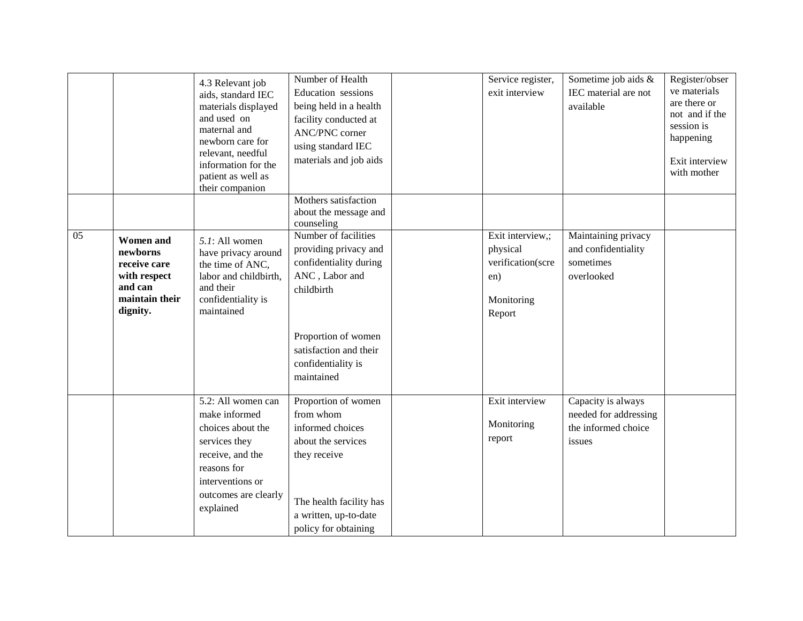|    |                                                                                                       | 4.3 Relevant job<br>aids, standard IEC<br>materials displayed<br>and used on<br>maternal and<br>newborn care for<br>relevant, needful<br>information for the<br>patient as well as<br>their companion | Number of Health<br>Education sessions<br>being held in a health<br>facility conducted at<br><b>ANC/PNC</b> corner<br>using standard IEC<br>materials and job aids     | Service register,<br>exit interview                                              | Sometime job aids &<br>IEC material are not<br>available                     | Register/obser<br>ve materials<br>are there or<br>not and if the<br>session is<br>happening<br>Exit interview<br>with mother |
|----|-------------------------------------------------------------------------------------------------------|-------------------------------------------------------------------------------------------------------------------------------------------------------------------------------------------------------|------------------------------------------------------------------------------------------------------------------------------------------------------------------------|----------------------------------------------------------------------------------|------------------------------------------------------------------------------|------------------------------------------------------------------------------------------------------------------------------|
|    |                                                                                                       |                                                                                                                                                                                                       | Mothers satisfaction<br>about the message and<br>counseling                                                                                                            |                                                                                  |                                                                              |                                                                                                                              |
| 05 | <b>Women</b> and<br>newborns<br>receive care<br>with respect<br>and can<br>maintain their<br>dignity. | 5.1: All women<br>have privacy around<br>the time of ANC,<br>labor and childbirth,<br>and their<br>confidentiality is<br>maintained                                                                   | Number of facilities<br>providing privacy and<br>confidentiality during<br>ANC, Labor and<br>childbirth                                                                | Exit interview,;<br>physical<br>verification(scre<br>en)<br>Monitoring<br>Report | Maintaining privacy<br>and confidentiality<br>sometimes<br>overlooked        |                                                                                                                              |
|    |                                                                                                       |                                                                                                                                                                                                       | Proportion of women<br>satisfaction and their<br>confidentiality is<br>maintained                                                                                      |                                                                                  |                                                                              |                                                                                                                              |
|    |                                                                                                       | 5.2: All women can<br>make informed<br>choices about the<br>services they<br>receive, and the<br>reasons for<br>interventions or<br>outcomes are clearly<br>explained                                 | Proportion of women<br>from whom<br>informed choices<br>about the services<br>they receive<br>The health facility has<br>a written, up-to-date<br>policy for obtaining | Exit interview<br>Monitoring<br>report                                           | Capacity is always<br>needed for addressing<br>the informed choice<br>issues |                                                                                                                              |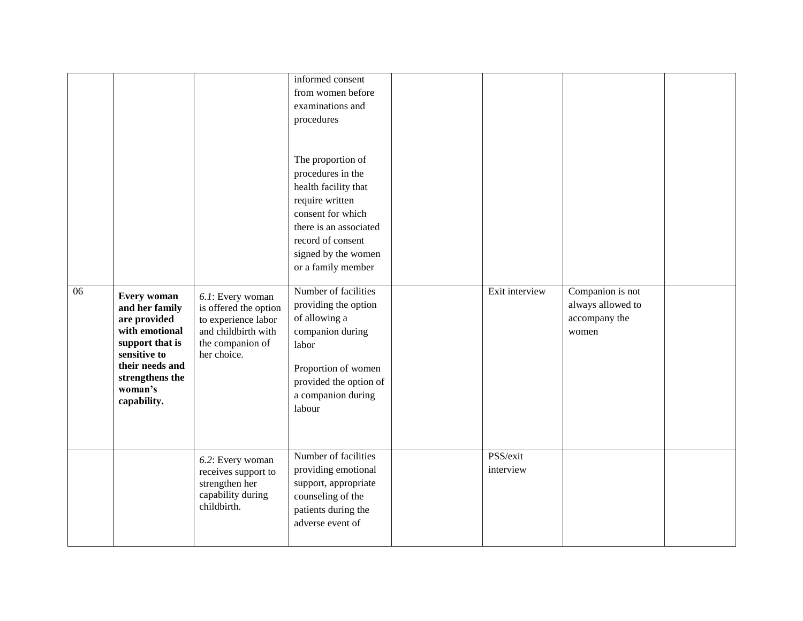| 06 | <b>Every woman</b><br>and her family<br>are provided<br>with emotional<br>support that is<br>sensitive to<br>their needs and<br>strengthens the<br>woman's<br>capability. | 6.1: Every woman<br>is offered the option<br>to experience labor<br>and childbirth with<br>the companion of<br>her choice. | informed consent<br>from women before<br>examinations and<br>procedures<br>The proportion of<br>procedures in the<br>health facility that<br>require written<br>consent for which<br>there is an associated<br>record of consent<br>signed by the women<br>or a family member<br>Number of facilities<br>providing the option<br>of allowing a<br>companion during<br>labor<br>Proportion of women<br>provided the option of<br>a companion during<br>labour | Exit interview        | Companion is not<br>always allowed to<br>accompany the<br>women |  |
|----|---------------------------------------------------------------------------------------------------------------------------------------------------------------------------|----------------------------------------------------------------------------------------------------------------------------|--------------------------------------------------------------------------------------------------------------------------------------------------------------------------------------------------------------------------------------------------------------------------------------------------------------------------------------------------------------------------------------------------------------------------------------------------------------|-----------------------|-----------------------------------------------------------------|--|
|    |                                                                                                                                                                           | 6.2: Every woman<br>receives support to<br>strengthen her<br>capability during<br>childbirth.                              | Number of facilities<br>providing emotional<br>support, appropriate<br>counseling of the<br>patients during the                                                                                                                                                                                                                                                                                                                                              | PSS/exit<br>interview |                                                                 |  |
|    |                                                                                                                                                                           |                                                                                                                            | adverse event of                                                                                                                                                                                                                                                                                                                                                                                                                                             |                       |                                                                 |  |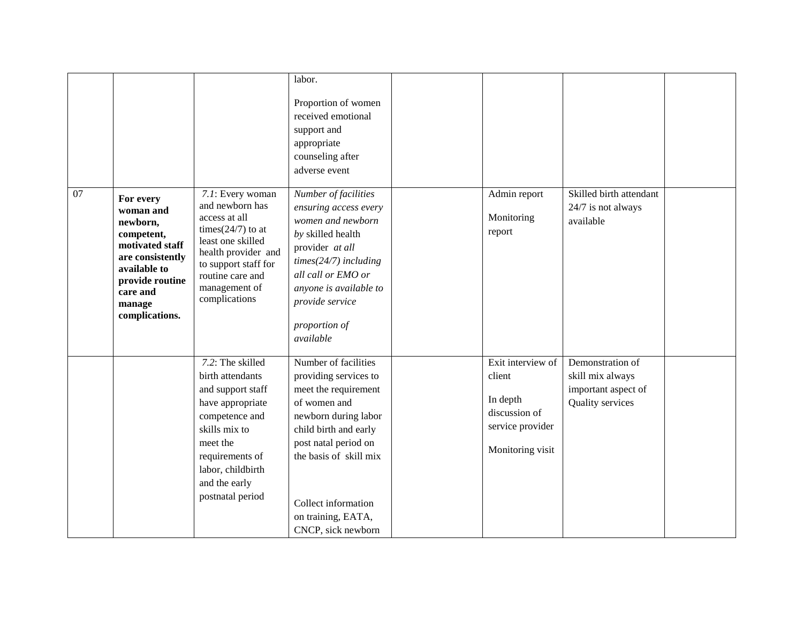|    |                                                                                                                                                                    |                                                                                                                                                                                                           | labor.<br>Proportion of women<br>received emotional<br>support and<br>appropriate<br>counseling after<br>adverse event                                                                                                                                      |                                                                                                  |                                                                                 |  |
|----|--------------------------------------------------------------------------------------------------------------------------------------------------------------------|-----------------------------------------------------------------------------------------------------------------------------------------------------------------------------------------------------------|-------------------------------------------------------------------------------------------------------------------------------------------------------------------------------------------------------------------------------------------------------------|--------------------------------------------------------------------------------------------------|---------------------------------------------------------------------------------|--|
| 07 | For every<br>woman and<br>newborn,<br>competent,<br>motivated staff<br>are consistently<br>available to<br>provide routine<br>care and<br>manage<br>complications. | 7.1: Every woman<br>and newborn has<br>access at all<br>times $(24/7)$ to at<br>least one skilled<br>health provider and<br>to support staff for<br>routine care and<br>management of<br>complications    | Number of facilities<br>ensuring access every<br>women and newborn<br>by skilled health<br>provider at all<br>$times(24/7)$ including<br>all call or EMO or<br>anyone is available to<br>provide service<br>proportion of<br>available                      | Admin report<br>Monitoring<br>report                                                             | Skilled birth attendant<br>24/7 is not always<br>available                      |  |
|    |                                                                                                                                                                    | 7.2: The skilled<br>birth attendants<br>and support staff<br>have appropriate<br>competence and<br>skills mix to<br>meet the<br>requirements of<br>labor, childbirth<br>and the early<br>postnatal period | Number of facilities<br>providing services to<br>meet the requirement<br>of women and<br>newborn during labor<br>child birth and early<br>post natal period on<br>the basis of skill mix<br>Collect information<br>on training, EATA,<br>CNCP, sick newborn | Exit interview of<br>client<br>In depth<br>discussion of<br>service provider<br>Monitoring visit | Demonstration of<br>skill mix always<br>important aspect of<br>Quality services |  |